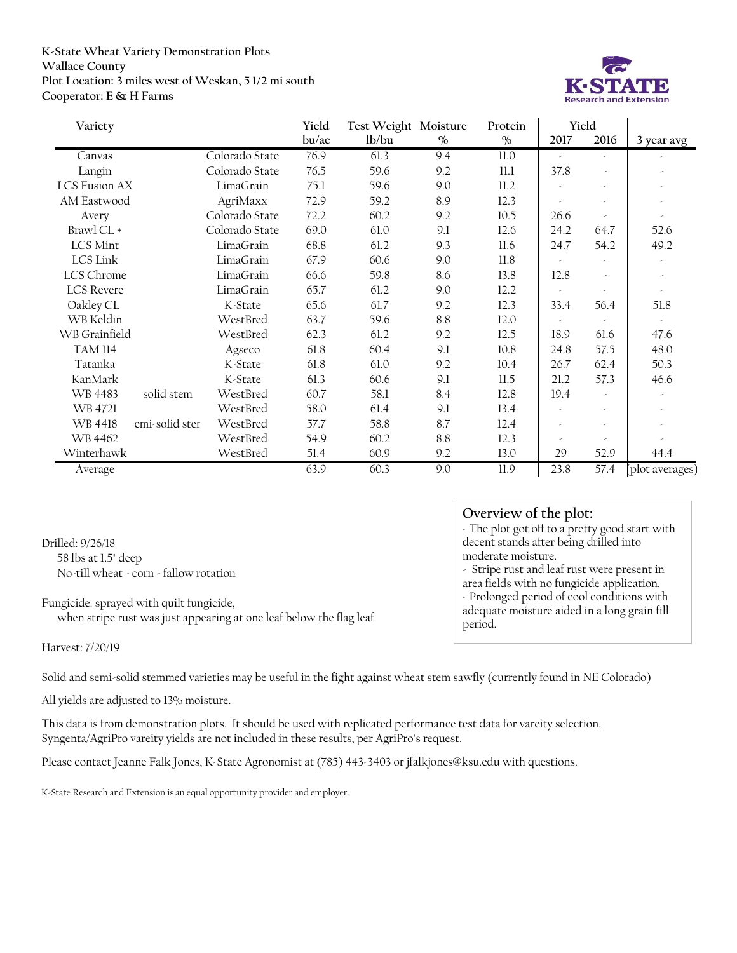## **K-State Wheat Variety Demonstration Plots Wallace County Plot Location: 3 miles west of Weskan, 5 1/2 mi south Cooperator: E & H Farms**



| Variety              |                |                | Yield | Test Weight Moisture |      | Protein       | Yield                 |                          |                          |
|----------------------|----------------|----------------|-------|----------------------|------|---------------|-----------------------|--------------------------|--------------------------|
|                      |                |                | bu/ac | lb/bu                | $\%$ | $\frac{0}{0}$ | 2017                  | 2016                     | 3 year avg               |
| Canvas               |                | Colorado State | 76.9  | 61.3                 | 9.4  | 11.0          | $\tilde{\phantom{a}}$ | ×                        |                          |
| Langin               |                | Colorado State | 76.5  | 59.6                 | 9.2  | 11.1          | 37.8                  | ×                        |                          |
| <b>LCS Fusion AX</b> |                | LimaGrain      | 75.1  | 59.6                 | 9.0  | 11.2          |                       | ×                        | $\tilde{\phantom{a}}$    |
| AM Eastwood          |                | AgriMaxx       | 72.9  | 59.2                 | 8.9  | 12.3          |                       | ×                        |                          |
| Avery                |                | Colorado State | 72.2  | 60.2                 | 9.2  | 10.5          | 26.6                  | $\overline{\phantom{a}}$ |                          |
| Brawl CL +           |                | Colorado State | 69.0  | 61.0                 | 9.1  | 12.6          | 24.2                  | 64.7                     | 52.6                     |
| LCS Mint             |                | LimaGrain      | 68.8  | 61.2                 | 9.3  | 11.6          | 24.7                  | 54.2                     | 49.2                     |
| LCS Link             |                | LimaGrain      | 67.9  | 60.6                 | 9.0  | 11.8          |                       |                          | $\overline{\phantom{a}}$ |
| LCS Chrome           |                | LimaGrain      | 66.6  | 59.8                 | 8.6  | 13.8          | 12.8                  | ×                        |                          |
| <b>LCS</b> Revere    |                | LimaGrain      | 65.7  | 61.2                 | 9.0  | 12.2          |                       | ×                        | ×                        |
| Oakley CL            |                | K-State        | 65.6  | 61.7                 | 9.2  | 12.3          | 33.4                  | 56.4                     | 51.8                     |
| WB Keldin            |                | WestBred       | 63.7  | 59.6                 | 8.8  | 12.0          | ,                     |                          | $\overline{\phantom{a}}$ |
| WB Grainfield        |                | WestBred       | 62.3  | 61.2                 | 9.2  | 12.5          | 18.9                  | 61.6                     | 47.6                     |
| <b>TAM 114</b>       |                | Agseco         | 61.8  | 60.4                 | 9.1  | 10.8          | 24.8                  | 57.5                     | 48.0                     |
| Tatanka              |                | K-State        | 61.8  | 61.0                 | 9.2  | 10.4          | 26.7                  | 62.4                     | 50.3                     |
| KanMark              |                | K-State        | 61.3  | 60.6                 | 9.1  | 11.5          | 21.2                  | 57.3                     | 46.6                     |
| WB 4483              | solid stem     | WestBred       | 60.7  | 58.1                 | 8.4  | 12.8          | 19.4                  | $\epsilon$               | $\overline{\phantom{a}}$ |
| WB 4721              |                | WestBred       | 58.0  | 61.4                 | 9.1  | 13.4          |                       | ×                        |                          |
| WB 4418              | emi-solid ster | WestBred       | 57.7  | 58.8                 | 8.7  | 12.4          |                       | ×                        |                          |
| WB 4462              |                | WestBred       | 54.9  | 60.2                 | 8.8  | 12.3          |                       | ×                        |                          |
| Winterhawk           |                | WestBred       | 51.4  | 60.9                 | 9.2  | 13.0          | 29                    | 52.9                     | 44.4                     |
| Average              |                |                | 63.9  | 60.3                 | 9.0  | 11.9          | 23.8                  | 57.4                     | (plot averages)          |

Drilled: 9/26/18 58 lbs at 1.5" deep No-till wheat - corn - fallow rotation

Fungicide: sprayed with quilt fungicide, when stripe rust was just appearing at one leaf below the flag leaf

## **Overview of the plot:**

- The plot got off to a pretty good start with decent stands after being drilled into moderate moisture.

- Stripe rust and leaf rust were present in area fields with no fungicide application. - Prolonged period of cool conditions with adequate moisture aided in a long grain fill period.

Harvest: 7/20/19

Solid and semi-solid stemmed varieties may be useful in the fight against wheat stem sawfly (currently found in NE Colorado)

All yields are adjusted to 13% moisture.

This data is from demonstration plots. It should be used with replicated performance test data for vareity selection. Syngenta/AgriPro vareity yields are not included in these results, per AgriPro's request.

Please contact Jeanne Falk Jones, K-State Agronomist at (785) 443-3403 or jfalkjones@ksu.edu with questions.

K-State Research and Extension is an equal opportunity provider and employer.